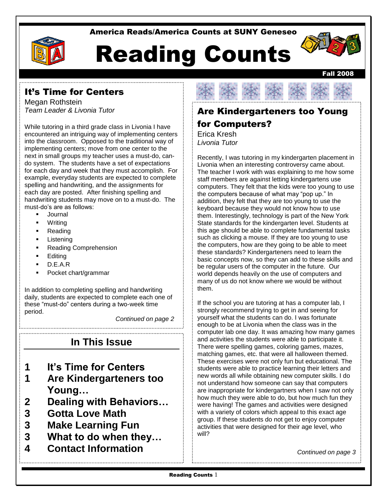#### America Reads/America Counts at SUNY Geneseo



# Reading Counts



Megan Rothstein *Team Leader & Livonia Tutor*

While tutoring in a third grade class in Livonia I have encountered an intriguing way of implementing centers into the classroom. Opposed to the traditional way of implementing centers; move from one center to the next in small groups my teacher uses a must-do, cando system. The students have a set of expectations for each day and week that they must accomplish. For example, everyday students are expected to complete spelling and handwriting, and the assignments for each day are posted. After finishing spelling and handwriting students may move on to a must-do. The must-do's are as follows:

- Journal
- **Writing**
- Reading
- Listening
- Reading Comprehension
- **Editing**
- D.E.A.R
- Pocket chart/grammar

In addition to completing spelling and handwriting daily, students are expected to complete each one of these "must-do" centers during a two-week time period.

*Continued on page 2*

### **In This Issue**

- **1 It's Time for Centers**
- **1 Are Kindergarteners too Young…**
- **2 Dealing with Behaviors…**
- **3 Gotta Love Math**
- **3 Make Learning Fun**
- **3 What to do when they…**
- **4 Contact Information**



Fall 2008

# Are Kindergarteners too Young for Computers?

Erica Kresh *Livonia Tutor*

 them. Interestingly, technology is part of the New York Recently, I was tutoring in my kindergarten placement in Livonia when an interesting controversy came about. The teacher I work with was explaining to me how some staff members are against letting kindergartens use computers. They felt that the kids were too young to use the computers because of what may "pop up." In addition, they felt that they are too young to use the keyboard because they would not know how to use State standards for the kindergarten level. Students at this age should be able to complete fundamental tasks such as clicking a mouse. If they are too young to use the computers, how are they going to be able to meet these standards? Kindergarteners need to learn the basic concepts now, so they can add to these skills and be regular users of the computer in the future. Our world depends heavily on the use of computers and many of us do not know where we would be without them.

If the school you are tutoring at has a computer lab, I strongly recommend trying to get in and seeing for yourself what the students can do. I was fortunate enough to be at Livonia when the class was in the computer lab one day. It was amazing how many games and activities the students were able to participate it. There were spelling games, coloring games, mazes, matching games, etc. that were all halloween themed. These exercises were not only fun but educational. The students were able to practice learning their letters and new words all while obtaining new computer skills. I do not understand how someone can say that computers are inappropriate for kindergartners when I saw not only how much they were able to do, but how much fun they were having! The games and activities were designed with a variety of colors which appeal to this exact age group. If these students do not get to enjoy computer activities that were designed for their age level, who will?

*Continued on page 3*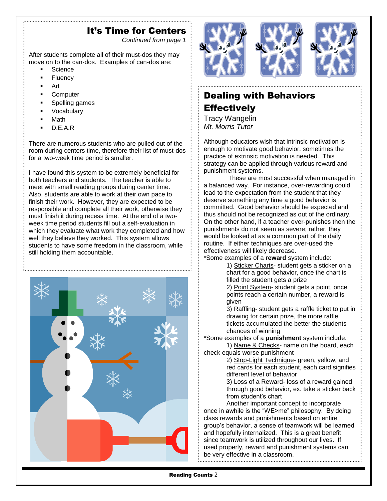#### It's Time for Centers

*Continued from page 1*

After students complete all of their must-dos they may move on to the can-dos. Examples of can-dos are:

- **Science**
- **Fluency**
- Art
- **Computer**
- Spelling games
- Vocabulary
- Math
- D.E.A.R

There are numerous students who are pulled out of the room during centers time, therefore their list of must-dos for a two-week time period is smaller.

I have found this system to be extremely beneficial for both teachers and students. The teacher is able to meet with small reading groups during center time. Also, students are able to work at their own pace to finish their work. However, they are expected to be responsible and complete all their work, otherwise they must finish it during recess time. At the end of a twoweek time period students fill out a self-evaluation in which they evaluate what work they completed and how well they believe they worked. This system allows students to have some freedom in the classroom, while still holding them accountable.





## Dealing with Behaviors **Effectively**

Tracy Wangelin *Mt. Morris Tutor*

Although educators wish that intrinsic motivation is enough to motivate good behavior, sometimes the practice of extrinsic motivation is needed. This strategy can be applied through various reward and punishment systems.

These are most successful when managed in a balanced way. For instance, over-rewarding could lead to the expectation from the student that they deserve something any time a good behavior is committed. Good behavior should be expected and thus should not be recognized as out of the ordinary. On the other hand, if a teacher over-punishes then the punishments do not seem as severe; rather, they would be looked at as a common part of the daily routine. If either techniques are over-used the effectiveness will likely decrease.

\*Some examples of a **reward** system include:

1) Sticker Charts- student gets a sticker on a chart for a good behavior, once the chart is filled the student gets a prize

2) Point System- student gets a point, once points reach a certain number, a reward is given

3) Raffling- student gets a raffle ticket to put in drawing for certain prize, the more raffle tickets accumulated the better the students chances of winning

\*Some examples of a **punishment** system include:

1) Name & Checks- name on the board, each check equals worse punishment

2) Stop-Light Technique- green, yellow, and red cards for each student, each card signifies different level of behavior

3) Loss of a Reward- loss of a reward gained through good behavior, ex. take a sticker back from student's chart

Another important concept to incorporate once in awhile is the "WE>me" philosophy. By doing class rewards and punishments based on entire group's behavior, a sense of teamwork will be learned and hopefully internalized. This is a great benefit since teamwork is utilized throughout our lives. If used properly, reward and punishment systems can be very effective in a classroom.

Reading Counts 2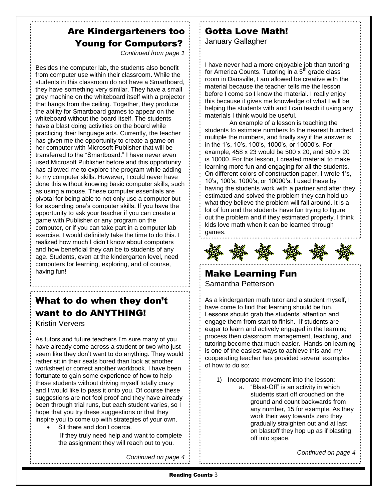## Are Kindergarteners too Young for Computers?

*Continued from page 1*

Besides the computer lab, the students also benefit from computer use within their classroom. While the students in this classroom do not have a Smartboard, they have something very similar. They have a small grey machine on the whiteboard itself with a projector that hangs from the ceiling. Together, they produce the ability for Smartboard games to appear on the whiteboard without the board itself. The students have a blast doing activities on the board while practicing their language arts. Currently, the teacher has given me the opportunity to create a game on her computer with Microsoft Publisher that will be transferred to the "Smartboard." I have never even used Microsoft Publisher before and this opportunity has allowed me to explore the program while adding to my computer skills. However, I could never have done this without knowing basic computer skills, such as using a mouse. These computer essentials are pivotal for being able to not only use a computer but for expanding one's computer skills. If you have the opportunity to ask your teacher if you can create a game with Publisher or any program on the computer, or if you can take part in a computer lab exercise, I would definitely take the time to do this. I realized how much I didn't know about computers and how beneficial they can be to students of any age. Students, even at the kindergarten level, need computers for learning, exploring, and of course, having fun!

## What to do when they don't want to do ANYTHING!

Kristin Ververs

As tutors and future teachers I'm sure many of you have already come across a student or two who just seem like they don't want to do anything. They would rather sit in their seats bored than look at another worksheet or correct another workbook. I have been fortunate to gain some experience of how to help these students without driving myself totally crazy and I would like to pass it onto you. Of course these suggestions are not fool proof and they have already been through trial runs, but each student varies, so I hope that you try these suggestions or that they inspire you to come up with strategies of your own.

 Sit there and don't coerce. If they truly need help and want to complete the assignment they will reach out to you.

*Continued on page 4*

#### Gotta Love Math! January Gallagher

I have never had a more enjoyable job than tutoring for America Counts. Tutoring in a  $5<sup>th</sup>$  grade class room in Dansville, I am allowed be creative with the material because the teacher tells me the lesson before I come so I know the material. I really enjoy this because it gives me knowledge of what I will be helping the students with and I can teach it using any materials I think would be useful.

An example of a lesson is teaching the students to estimate numbers to the nearest hundred, multiple the numbers, and finally say if the answer is in the 1's, 10's, 100's, 1000's, or 10000's. For example, 458 x 23 would be 500 x 20, and 500 x 20 is 10000. For this lesson, I created material to make learning more fun and engaging for all the students. On different colors of construction paper, I wrote 1's, 10's, 100's, 1000's, or 10000's. I used these by having the students work with a partner and after they estimated and solved the problem they can hold up what they believe the problem will fall around. It is a lot of fun and the students have fun trying to figure out the problem and if they estimated properly. I think kids love math when it can be learned through games.



#### Make Learning Fun Samantha Petterson

As a kindergarten math tutor and a student myself, I have come to find that learning should be fun. Lessons should grab the students' attention and engage them from start to finish. If students are eager to learn and actively engaged in the learning process then classroom management, teaching, and tutoring become that much easier. Hands-on learning is one of the easiest ways to achieve this and my cooperating teacher has provided several examples of how to do so:

- 1) Incorporate movement into the lesson:
	- a. "Blast-Off" is an activity in which students start off crouched on the ground and count backwards from any number, 15 for example. As they work their way towards zero they gradually straighten out and at last on blastoff they hop up as if blasting off into space.

*Continued on page 4*